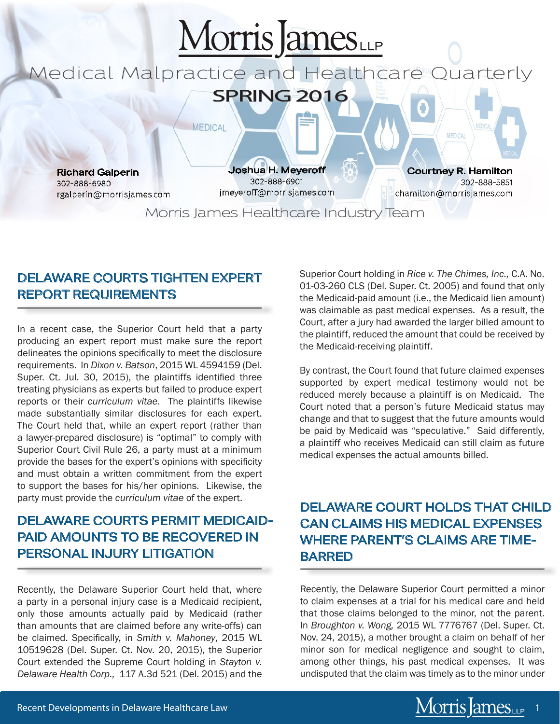

#### DELAWARE COURTS TIGHTEN EXPERT REPORT REQUIREMENTS

In a recent case, the Superior Court held that a party producing an expert report must make sure the report delineates the opinions specifically to meet the disclosure requirements. In *Dixon v. Batson*, 2015 WL 4594159 (Del. Super. Ct. Jul. 30, 2015), the plaintiffs identified three treating physicians as experts but failed to produce expert reports or their *curriculum vitae.* The plaintiffs likewise made substantially similar disclosures for each expert. The Court held that, while an expert report (rather than a lawyer-prepared disclosure) is "optimal" to comply with Superior Court Civil Rule 26, a party must at a minimum provide the bases for the expert's opinions with specificity and must obtain a written commitment from the expert to support the bases for his/her opinions. Likewise, the party must provide the *curriculum vitae* of the expert.

# DELAWARE COURTS PERMIT MEDICAID-PAID AMOUNTS TO BE RECOVERED IN PERSONAL INJURY LITIGATION

Recently, the Delaware Superior Court held that, where a party in a personal injury case is a Medicaid recipient, only those amounts actually paid by Medicaid (rather than amounts that are claimed before any write-offs) can be claimed. Specifically, in *Smith v. Mahoney*, 2015 WL 10519628 (Del. Super. Ct. Nov. 20, 2015), the Superior Court extended the Supreme Court holding in *Stayton v. Delaware Health Corp.,* 117 A.3d 521 (Del. 2015) and the Superior Court holding in *Rice v. The Chimes, Inc.,* C.A. No. 01-03-260 CLS (Del. Super. Ct. 2005) and found that only the Medicaid-paid amount (i.e., the Medicaid lien amount) was claimable as past medical expenses. As a result, the Court, after a jury had awarded the larger billed amount to the plaintiff, reduced the amount that could be received by the Medicaid-receiving plaintiff.

By contrast, the Court found that future claimed expenses supported by expert medical testimony would not be reduced merely because a plaintiff is on Medicaid. The Court noted that a person's future Medicaid status may change and that to suggest that the future amounts would be paid by Medicaid was "speculative." Said differently, a plaintiff who receives Medicaid can still claim as future medical expenses the actual amounts billed.

# DELAWARE COURT HOLDS THAT CHILD CAN CLAIMS HIS MEDICAL EXPENSES WHERE PARENT'S CLAIMS ARE TIME-BARRED

Recently, the Delaware Superior Court permitted a minor to claim expenses at a trial for his medical care and held that those claims belonged to the minor, not the parent. In *Broughton v. Wong,* 2015 WL 7776767 (Del. Super. Ct. Nov. 24, 2015), a mother brought a claim on behalf of her minor son for medical negligence and sought to claim, among other things, his past medical expenses. It was undisputed that the claim was timely as to the minor under

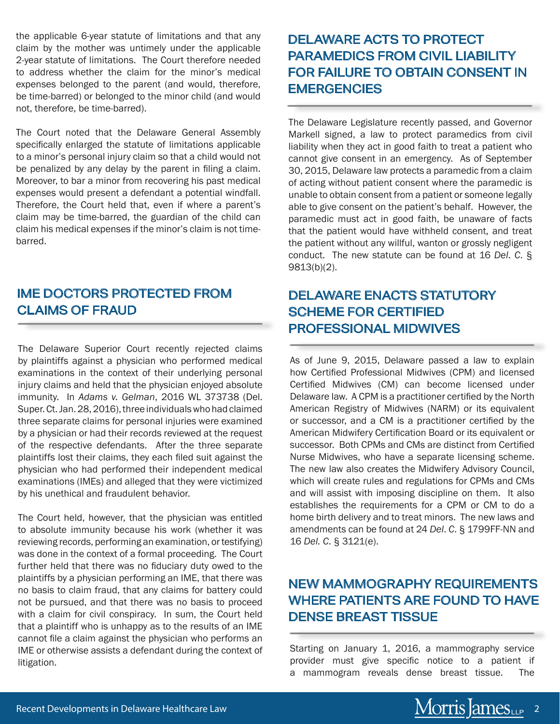the applicable 6-year statute of limitations and that any claim by the mother was untimely under the applicable 2-year statute of limitations. The Court therefore needed to address whether the claim for the minor's medical expenses belonged to the parent (and would, therefore, be time-barred) or belonged to the minor child (and would not, therefore, be time-barred).

The Court noted that the Delaware General Assembly specifically enlarged the statute of limitations applicable to a minor's personal injury claim so that a child would not be penalized by any delay by the parent in filing a claim. Moreover, to bar a minor from recovering his past medical expenses would present a defendant a potential windfall. Therefore, the Court held that, even if where a parent's claim may be time-barred, the guardian of the child can claim his medical expenses if the minor's claim is not timebarred.

#### IME DOCTORS PROTECTED FROM CLAIMS OF FRAUD

The Delaware Superior Court recently rejected claims by plaintiffs against a physician who performed medical examinations in the context of their underlying personal injury claims and held that the physician enjoyed absolute immunity. In *Adams v. Gelman*, 2016 WL 373738 (Del. Super. Ct. Jan. 28, 2016), three individuals who had claimed three separate claims for personal injuries were examined by a physician or had their records reviewed at the request of the respective defendants. After the three separate plaintiffs lost their claims, they each filed suit against the physician who had performed their independent medical examinations (IMEs) and alleged that they were victimized by his unethical and fraudulent behavior.

The Court held, however, that the physician was entitled to absolute immunity because his work (whether it was reviewing records, performing an examination, or testifying) was done in the context of a formal proceeding. The Court further held that there was no fiduciary duty owed to the plaintiffs by a physician performing an IME, that there was no basis to claim fraud, that any claims for battery could not be pursued, and that there was no basis to proceed with a claim for civil conspiracy. In sum, the Court held that a plaintiff who is unhappy as to the results of an IME cannot file a claim against the physician who performs an IME or otherwise assists a defendant during the context of litigation.

# DELAWARE ACTS TO PROTECT PARAMEDICS FROM CIVIL LIABILITY FOR FAILURE TO OBTAIN CONSENT IN **EMERGENCIES**

The Delaware Legislature recently passed, and Governor Markell signed, a law to protect paramedics from civil liability when they act in good faith to treat a patient who cannot give consent in an emergency. As of September 30, 2015, Delaware law protects a paramedic from a claim of acting without patient consent where the paramedic is unable to obtain consent from a patient or someone legally able to give consent on the patient's behalf. However, the paramedic must act in good faith, be unaware of facts that the patient would have withheld consent, and treat the patient without any willful, wanton or grossly negligent conduct. The new statute can be found at 16 *Del*. *C*. § 9813(b)(2).

# DELAWARE ENACTS STATUTORY SCHEME FOR CERTIFIED PROFESSIONAL MIDWIVES

As of June 9, 2015, Delaware passed a law to explain how Certified Professional Midwives (CPM) and licensed Certified Midwives (CM) can become licensed under Delaware law. A CPM is a practitioner certified by the North American Registry of Midwives (NARM) or its equivalent or successor, and a CM is a practitioner certified by the American Midwifery Certification Board or its equivalent or successor. Both CPMs and CMs are distinct from Certified Nurse Midwives, who have a separate licensing scheme. The new law also creates the Midwifery Advisory Council, which will create rules and regulations for CPMs and CMs and will assist with imposing discipline on them. It also establishes the requirements for a CPM or CM to do a home birth delivery and to treat minors. The new laws and amendments can be found at 24 *Del*. *C*. § 1799FF-NN and 16 *Del. C*. § 3121(e).

## NEW MAMMOGRAPHY REQUIREMENTS WHERE PATIENTS ARE FOUND TO HAVE DENSE BREAST TISSUE

Starting on January 1, 2016, a mammography service provider must give specific notice to a patient if a mammogram reveals dense breast tissue. The

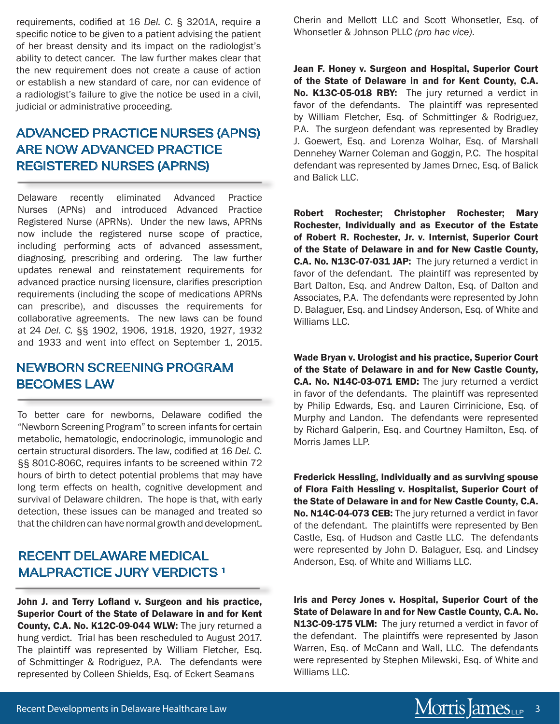requirements, codified at 16 *Del. C*. § 3201A, require a specific notice to be given to a patient advising the patient of her breast density and its impact on the radiologist's ability to detect cancer. The law further makes clear that the new requirement does not create a cause of action or establish a new standard of care, nor can evidence of a radiologist's failure to give the notice be used in a civil, judicial or administrative proceeding.

# ADVANCED PRACTICE NURSES (APNS) ARE NOW ADVANCED PRACTICE REGISTERED NURSES (APRNS)

Delaware recently eliminated Advanced Practice Nurses (APNs) and introduced Advanced Practice Registered Nurse (APRNs). Under the new laws, APRNs now include the registered nurse scope of practice, including performing acts of advanced assessment, diagnosing, prescribing and ordering. The law further updates renewal and reinstatement requirements for advanced practice nursing licensure, clarifies prescription requirements (including the scope of medications APRNs can prescribe), and discusses the requirements for collaborative agreements. The new laws can be found at 24 *Del. C.* §§ 1902, 1906, 1918, 1920, 1927, 1932 and 1933 and went into effect on September 1, 2015.

#### NEWBORN SCREENING PROGRAM BECOMES LAW

To better care for newborns, Delaware codified the "Newborn Screening Program" to screen infants for certain metabolic, hematologic, endocrinologic, immunologic and certain structural disorders. The law, codified at 16 *Del. C.* §§ 801C-806C, requires infants to be screened within 72 hours of birth to detect potential problems that may have long term effects on health, cognitive development and survival of Delaware children. The hope is that, with early detection, these issues can be managed and treated so that the children can have normal growth and development.

#### RECENT DELAWARE MEDICAL MALPRACTICE JURY VERDICTS<sup>1</sup>

John J. and Terry Lofland v. Surgeon and his practice,<br>
Superior Court of the State of Delaware in and for Kent<br>
Superior Court of the State of Delaware in and for Kent<br>
State of Delaware in and for New Castle County, C.A. Superior Court of the State of Delaware in and for Kent County, C.A. No. K12C-09-044 WLW: The jury returned a hung verdict. Trial has been rescheduled to August 2017. The plaintiff was represented by William Fletcher, Esq. of Schmittinger & Rodriguez, P.A. The defendants were represented by Colleen Shields, Esq. of Eckert Seamans

Cherin and Mellott LLC and Scott Whonsetler, Esq. of Whonsetler & Johnson PLLC *(pro hac vice)*.

Jean F. Honey v. Surgeon and Hospital, Superior Court of the State of Delaware in and for Kent County, C.A. No. K13C-05-018 RBY: The jury returned a verdict in favor of the defendants. The plaintiff was represented by William Fletcher, Esq. of Schmittinger & Rodriguez, P.A. The surgeon defendant was represented by Bradley J. Goewert, Esq. and Lorenza Wolhar, Esq. of Marshall Dennehey Warner Coleman and Goggin, P.C. The hospital defendant was represented by James Drnec, Esq. of Balick and Balick LLC.

Robert Rochester; Christopher Rochester; Mary Rochester, Individually and as Executor of the Estate of Robert R. Rochester, Jr. v. Internist, Superior Court of the State of Delaware in and for New Castle County, C.A. No. N13C-07-031 JAP: The jury returned a verdict in favor of the defendant. The plaintiff was represented by Bart Dalton, Esq. and Andrew Dalton, Esq. of Dalton and Associates, P.A. The defendants were represented by John D. Balaguer, Esq. and Lindsey Anderson, Esq. of White and Williams LLC.

Wade Bryan v. Urologist and his practice, Superior Court of the State of Delaware in and for New Castle County, C.A. No. N14C-03-071 EMD: The jury returned a verdict in favor of the defendants. The plaintiff was represented by Philip Edwards, Esq. and Lauren Cirrinicione, Esq. of Murphy and Landon. The defendants were represented by Richard Galperin, Esq. and Courtney Hamilton, Esq. of Morris James LLP.

Frederick Hessling, Individually and as surviving spouse of Flora Faith Hessling v. Hospitalist, Superior Court of the State of Delaware in and for New Castle County, C.A. No. N14C-04-073 CEB: The jury returned a verdict in favor of the defendant. The plaintiffs were represented by Ben Castle, Esq. of Hudson and Castle LLC. The defendants were represented by John D. Balaguer, Esq. and Lindsey Anderson, Esq. of White and Williams LLC.

Iris and Percy Jones v. Hospital, Superior Court of the State of Delaware in and for New Castle County, C.A. No. N13C-09-175 VLM: The jury returned a verdict in favor of the defendant. The plaintiffs were represented by Jason Warren, Esq. of McCann and Wall, LLC. The defendants were represented by Stephen Milewski, Esq. of White and Williams LLC.

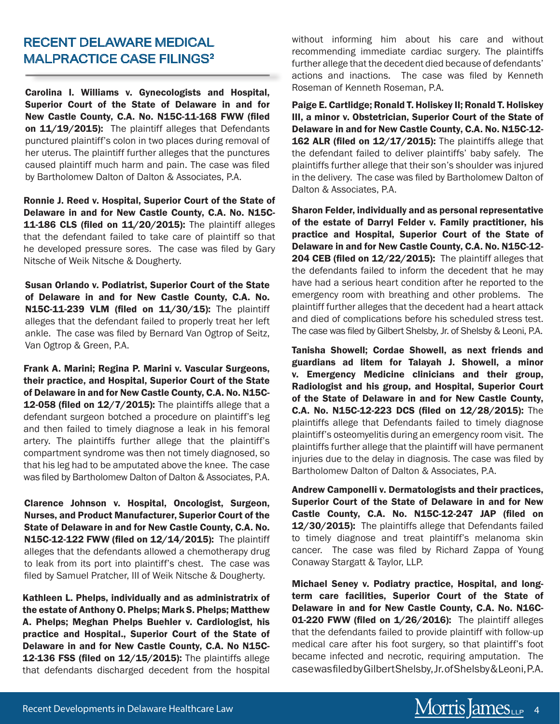#### RECENT DELAWARE MEDICAL MALPRACTICE CASE FILINGS<sup>2</sup>

Carolina I. Williams v. Gynecologists and Hospital, Superior Court of the State of Delaware in and for New Castle County, C.A. No. N15C-11-168 FWW (filed on 11/19/2015): The plaintiff alleges that Defendants punctured plaintiff's colon in two places during removal of her uterus. The plaintiff further alleges that the punctures caused plaintiff much harm and pain. The case was filed by Bartholomew Dalton of Dalton & Associates, P.A.

Ronnie J. Reed v. Hospital, Superior Court of the State of Delaware in and for New Castle County, C.A. No. N15C-11-186 CLS (filed on 11/20/2015): The plaintiff alleges that the defendant failed to take care of plaintiff so that he developed pressure sores. The case was filed by Gary Nitsche of Weik Nitsche & Dougherty.

Susan Orlando v. Podiatrist, Superior Court of the State of Delaware in and for New Castle County, C.A. No. N15C-11-239 VLM (filed on 11/30/15): The plaintiff alleges that the defendant failed to properly treat her left ankle. The case was filed by Bernard Van Ogtrop of Seitz, Van Ogtrop & Green, P.A.

Frank A. Marini; Regina P. Marini v. Vascular Surgeons, their practice, and Hospital, Superior Court of the State of Delaware in and for New Castle County, C.A. No. N15C-12-058 (filed on 12/7/2015): The plaintiffs allege that a defendant surgeon botched a procedure on plaintiff's leg and then failed to timely diagnose a leak in his femoral artery. The plaintiffs further allege that the plaintiff's compartment syndrome was then not timely diagnosed, so that his leg had to be amputated above the knee. The case was filed by Bartholomew Dalton of Dalton & Associates, P.A.

Clarence Johnson v. Hospital, Oncologist, Surgeon, Nurses, and Product Manufacturer, Superior Court of the State of Delaware in and for New Castle County, C.A. No. N15C-12-122 FWW (filed on 12/14/2015): The plaintiff alleges that the defendants allowed a chemotherapy drug to leak from its port into plaintiff's chest. The case was filed by Samuel Pratcher, III of Weik Nitsche & Dougherty.

Kathleen L. Phelps, individually and as administratrix of the estate of Anthony O. Phelps; Mark S. Phelps; Matthew A. Phelps; Meghan Phelps Buehler v. Cardiologist, his practice and Hospital., Superior Court of the State of Delaware in and for New Castle County, C.A. No N15C-12-136 FSS (filed on 12/15/2015): The plaintiffs allege that defendants discharged decedent from the hospital without informing him about his care and without recommending immediate cardiac surgery. The plaintiffs further allege that the decedent died because of defendants' actions and inactions. The case was filed by Kenneth Roseman of Kenneth Roseman, P.A.

Paige E. Cartlidge; Ronald T. Holiskey II; Ronald T. Holiskey III, a minor v. Obstetrician, Superior Court of the State of Delaware in and for New Castle County, C.A. No. N15C-12- 162 ALR (filed on 12/17/2015): The plaintiffs allege that the defendant failed to deliver plaintiffs' baby safely. The plaintiffs further allege that their son's shoulder was injured in the delivery. The case was filed by Bartholomew Dalton of Dalton & Associates, P.A.

Sharon Felder, individually and as personal representative of the estate of Darryl Felder v. Family practitioner, his practice and Hospital, Superior Court of the State of Delaware in and for New Castle County, C.A. No. N15C-12- 204 CEB (filed on 12/22/2015): The plaintiff alleges that the defendants failed to inform the decedent that he may have had a serious heart condition after he reported to the emergency room with breathing and other problems. The plaintiff further alleges that the decedent had a heart attack and died of complications before his scheduled stress test. The case was filed by Gilbert Shelsby, Jr. of Shelsby & Leoni, P.A.

Tanisha Showell; Cordae Showell, as next friends and guardians ad litem for Talayah J. Showell, a minor v. Emergency Medicine clinicians and their group, Radiologist and his group, and Hospital, Superior Court of the State of Delaware in and for New Castle County, C.A. No. N15C-12-223 DCS (filed on 12/28/2015): The plaintiffs allege that Defendants failed to timely diagnose plaintiff's osteomyelitis during an emergency room visit. The plaintiffs further allege that the plaintiff will have permanent injuries due to the delay in diagnosis. The case was filed by Bartholomew Dalton of Dalton & Associates, P.A.

Andrew Camponelli v. Dermatologists and their practices, Superior Court of the State of Delaware in and for New Castle County, C.A. No. N15C-12-247 JAP (filed on 12/30/2015): The plaintiffs allege that Defendants failed to timely diagnose and treat plaintiff's melanoma skin cancer. The case was filed by Richard Zappa of Young Conaway Stargatt & Taylor, LLP.

Michael Seney v. Podiatry practice, Hospital, and longterm care facilities, Superior Court of the State of Delaware in and for New Castle County, C.A. No. N16C-01-220 FWW (filed on 1/26/2016): The plaintiff alleges that the defendants failed to provide plaintiff with follow-up medical care after his foot surgery, so that plaintiff's foot became infected and necrotic, requiring amputation. The case was filed by Gilbert Shelsby, Jr. of Shelsby & Leoni, P.A.